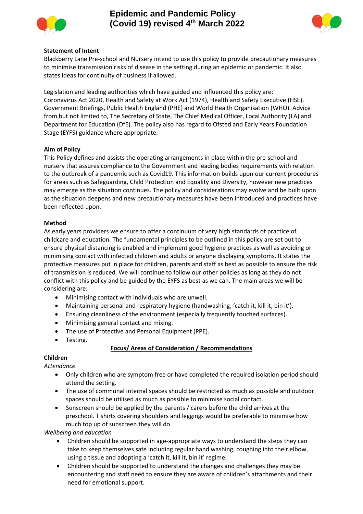



#### **Statement of Intent**

Blackberry Lane Pre-school and Nursery intend to use this policy to provide precautionary measures to minimise transmission risks of disease in the setting during an epidemic or pandemic. It also states ideas for continuity of business if allowed.

Legislation and leading authorities which have guided and influenced this policy are: Coronavirus Act 2020, Health and Safety at Work Act (1974), Health and Safety Executive (HSE), Government Briefings, Public Health England (PHE) and World Health Organisation (WHO). Advice from but not limited to, The Secretary of State, The Chief Medical Officer, Local Authority (LA) and Department for Education (DfE). The policy also has regard to Ofsted and Early Years Foundation Stage (EYFS) guidance where appropriate.

#### **Aim of Policy**

This Policy defines and assists the operating arrangements in place within the pre-school and nursery that assures compliance to the Government and leading bodies requirements with relation to the outbreak of a pandemic such as Covid19. This information builds upon our current procedures for areas such as Safeguarding, Child Protection and Equality and Diversity, however new practices may emerge as the situation continues. The policy and considerations may evolve and be built upon as the situation deepens and new precautionary measures have been introduced and practices have been reflected upon.

#### **Method**

As early years providers we ensure to offer a continuum of very high standards of practice of childcare and education. The fundamental principles to be outlined in this policy are set out to ensure physical distancing is enabled and implement good hygiene practices as well as avoiding or minimising contact with infected children and adults or anyone displaying symptoms. It states the protective measures put in place for children, parents and staff as best as possible to ensure the risk of transmission is reduced. We will continue to follow our other policies as long as they do not conflict with this policy and be guided by the EYFS as best as we can. The main areas we will be considering are:

- Minimising contact with individuals who are unwell.
- Maintaining personal and respiratory hygiene (handwashing, 'catch it, kill it, bin it').
- Ensuring cleanliness of the environment (especially frequently touched surfaces).
- Minimising general contact and mixing.
- The use of Protective and Personal Equipment (PPE).
- Testing.

# **Focus/ Areas of Consideration / Recommendations**

### **Children**

*Attendance*

- Only children who are symptom free or have completed the required isolation period should attend the setting.
- The use of communal internal spaces should be restricted as much as possible and outdoor spaces should be utilised as much as possible to minimise social contact.
- Sunscreen should be applied by the parents / carers before the child arrives at the preschool. T shirts covering shoulders and leggings would be preferable to minimise how much top up of sunscreen they will do.

*Wellbeing and education*

- Children should be supported in age-appropriate ways to understand the steps they can take to keep themselves safe including regular hand washing, coughing into their elbow, using a tissue and adopting a 'catch it, kill it, bin it' regime.
- Children should be supported to understand the changes and challenges they may be encountering and staff need to ensure they are aware of children's attachments and their need for emotional support.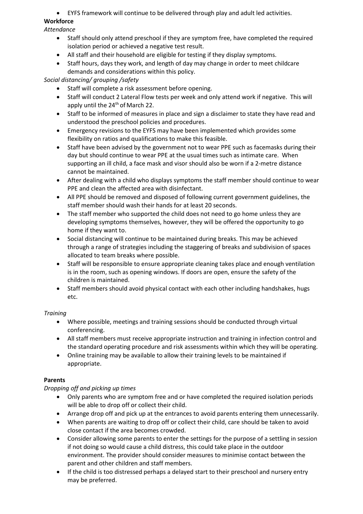# • EYFS framework will continue to be delivered through play and adult led activities.

# **Workforce**

*Attendance*

- Staff should only attend preschool if they are symptom free, have completed the required isolation period or achieved a negative test result.
- All staff and their household are eligible for testing if they display symptoms.
- Staff hours, days they work, and length of day may change in order to meet childcare demands and considerations within this policy.

*Social distancing/ grouping /safety*

- Staff will complete a risk assessment before opening.
- Staff will conduct 2 Lateral Flow tests per week and only attend work if negative. This will apply until the  $24<sup>th</sup>$  of March 22.
- Staff to be informed of measures in place and sign a disclaimer to state they have read and understood the preschool policies and procedures.
- Emergency revisions to the EYFS may have been implemented which provides some flexibility on ratios and qualifications to make this feasible.
- Staff have been advised by the government not to wear PPE such as facemasks during their day but should continue to wear PPE at the usual times such as intimate care. When supporting an ill child, a face mask and visor should also be worn if a 2-metre distance cannot be maintained.
- After dealing with a child who displays symptoms the staff member should continue to wear PPE and clean the affected area with disinfectant.
- All PPE should be removed and disposed of following current government guidelines, the staff member should wash their hands for at least 20 seconds.
- The staff member who supported the child does not need to go home unless they are developing symptoms themselves, however, they will be offered the opportunity to go home if they want to.
- Social distancing will continue to be maintained during breaks. This may be achieved through a range of strategies including the staggering of breaks and subdivision of spaces allocated to team breaks where possible.
- Staff will be responsible to ensure appropriate cleaning takes place and enough ventilation is in the room, such as opening windows. If doors are open, ensure the safety of the children is maintained.
- Staff members should avoid physical contact with each other including handshakes, hugs etc.

# *Training*

- Where possible, meetings and training sessions should be conducted through virtual conferencing.
- All staff members must receive appropriate instruction and training in infection control and the standard operating procedure and risk assessments within which they will be operating.
- Online training may be available to allow their training levels to be maintained if appropriate.

# **Parents**

# *Dropping off and picking up times*

- Only parents who are symptom free and or have completed the required isolation periods will be able to drop off or collect their child.
- Arrange drop off and pick up at the entrances to avoid parents entering them unnecessarily.
- When parents are waiting to drop off or collect their child, care should be taken to avoid close contact if the area becomes crowded.
- Consider allowing some parents to enter the settings for the purpose of a settling in session if not doing so would cause a child distress, this could take place in the outdoor environment. The provider should consider measures to minimise contact between the parent and other children and staff members.
- If the child is too distressed perhaps a delayed start to their preschool and nursery entry may be preferred.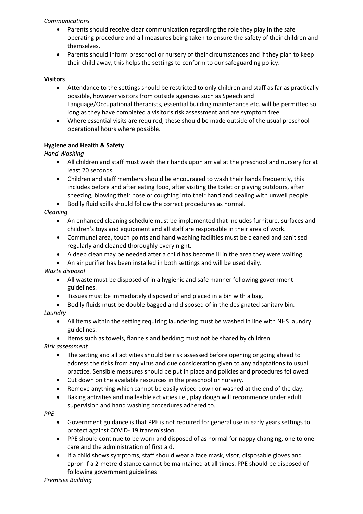### *Communications*

- Parents should receive clear communication regarding the role they play in the safe operating procedure and all measures being taken to ensure the safety of their children and themselves.
- Parents should inform preschool or nursery of their circumstances and if they plan to keep their child away, this helps the settings to conform to our safeguarding policy.

#### **Visitors**

- Attendance to the settings should be restricted to only children and staff as far as practically possible, however visitors from outside agencies such as Speech and Language/Occupational therapists, essential building maintenance etc. will be permitted so long as they have completed a visitor's risk assessment and are symptom free.
- Where essential visits are required, these should be made outside of the usual preschool operational hours where possible.

### **Hygiene and Health & Safety**

#### *Hand Washing*

- All children and staff must wash their hands upon arrival at the preschool and nursery for at least 20 seconds.
- Children and staff members should be encouraged to wash their hands frequently, this includes before and after eating food, after visiting the toilet or playing outdoors, after sneezing, blowing their nose or coughing into their hand and dealing with unwell people.
- Bodily fluid spills should follow the correct procedures as normal.

#### *Cleaning*

- An enhanced cleaning schedule must be implemented that includes furniture, surfaces and children's toys and equipment and all staff are responsible in their area of work.
- Communal area, touch points and hand washing facilities must be cleaned and sanitised regularly and cleaned thoroughly every night.
- A deep clean may be needed after a child has become ill in the area they were waiting.
- An air purifier has been installed in both settings and will be used daily.

#### *Waste disposal*

- All waste must be disposed of in a hygienic and safe manner following government guidelines.
- Tissues must be immediately disposed of and placed in a bin with a bag.
- Bodily fluids must be double bagged and disposed of in the designated sanitary bin. *Laundry*
	- All items within the setting requiring laundering must be washed in line with NHS laundry guidelines.
	- Items such as towels, flannels and bedding must not be shared by children.

*Risk assessment*

- The setting and all activities should be risk assessed before opening or going ahead to address the risks from any virus and due consideration given to any adaptations to usual practice. Sensible measures should be put in place and policies and procedures followed.
- Cut down on the available resources in the preschool or nursery.
- Remove anything which cannot be easily wiped down or washed at the end of the day.
- Baking activities and malleable activities i.e., play dough will recommence under adult supervision and hand washing procedures adhered to.

#### *PPE*

- Government guidance is that PPE is not required for general use in early years settings to protect against COVID- 19 transmission.
- PPE should continue to be worn and disposed of as normal for nappy changing, one to one care and the administration of first aid.
- If a child shows symptoms, staff should wear a face mask, visor, disposable gloves and apron if a 2-metre distance cannot be maintained at all times. PPE should be disposed of following government guidelines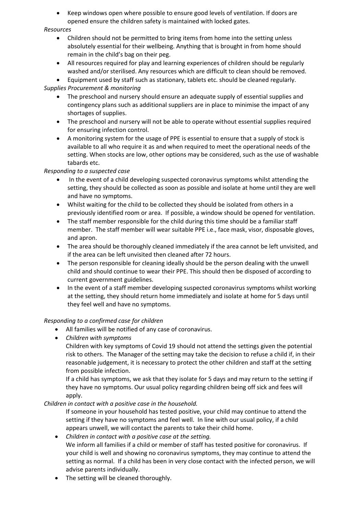• Keep windows open where possible to ensure good levels of ventilation. If doors are opened ensure the children safety is maintained with locked gates.

#### *Resources*

- Children should not be permitted to bring items from home into the setting unless absolutely essential for their wellbeing. Anything that is brought in from home should remain in the child's bag on their peg.
- All resources required for play and learning experiences of children should be regularly washed and/or sterilised. Any resources which are difficult to clean should be removed.
- Equipment used by staff such as stationary, tablets etc. should be cleaned regularly.

# *Supplies Procurement & monitoring*

- The preschool and nursery should ensure an adequate supply of essential supplies and contingency plans such as additional suppliers are in place to minimise the impact of any shortages of supplies.
- The preschool and nursery will not be able to operate without essential supplies required for ensuring infection control.
- A monitoring system for the usage of PPE is essential to ensure that a supply of stock is available to all who require it as and when required to meet the operational needs of the setting. When stocks are low, other options may be considered, such as the use of washable tabards etc.

### *Responding to a suspected case*

- In the event of a child developing suspected coronavirus symptoms whilst attending the setting, they should be collected as soon as possible and isolate at home until they are well and have no symptoms.
- Whilst waiting for the child to be collected they should be isolated from others in a previously identified room or area. If possible, a window should be opened for ventilation.
- The staff member responsible for the child during this time should be a familiar staff member. The staff member will wear suitable PPE i.e., face mask, visor, disposable gloves, and apron.
- The area should be thoroughly cleaned immediately if the area cannot be left unvisited, and if the area can be left unvisited then cleaned after 72 hours.
- The person responsible for cleaning ideally should be the person dealing with the unwell child and should continue to wear their PPE. This should then be disposed of according to current government guidelines.
- In the event of a staff member developing suspected coronavirus symptoms whilst working at the setting, they should return home immediately and isolate at home for 5 days until they feel well and have no symptoms.

### *Responding to a confirmed case for children*

- All families will be notified of any case of coronavirus.
- *Children with symptoms*

Children with key symptoms of Covid 19 should not attend the settings given the potential risk to others. The Manager of the setting may take the decision to refuse a child if, in their reasonable judgement, it is necessary to protect the other children and staff at the setting from possible infection.

If a child has symptoms, we ask that they isolate for 5 days and may return to the setting if they have no symptoms. Our usual policy regarding children being off sick and fees will apply.

# *Children in contact with a positive case in the household.*

If someone in your household has tested positive, your child may continue to attend the setting if they have no symptoms and feel well. In line with our usual policy, if a child appears unwell, we will contact the parents to take their child home.

- *Children in contact with a positive case at the setting.* We inform all families if a child or member of staff has tested positive for coronavirus. If your child is well and showing no coronavirus symptoms, they may continue to attend the setting as normal. If a child has been in very close contact with the infected person, we will advise parents individually.
- The setting will be cleaned thoroughly.